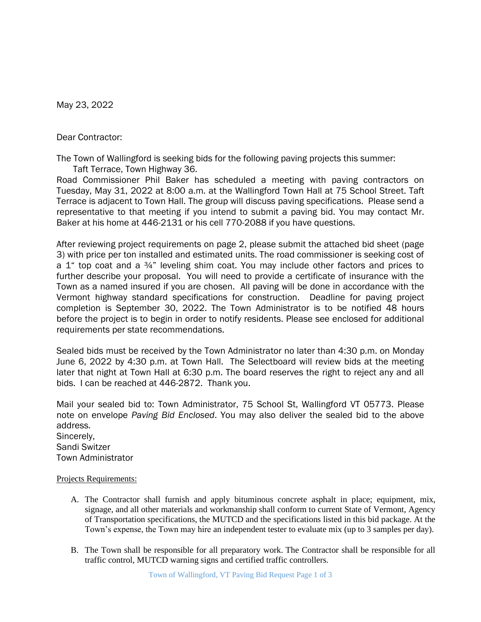May 23, 2022

Dear Contractor:

The Town of Wallingford is seeking bids for the following paving projects this summer:

Taft Terrace, Town Highway 36.

Road Commissioner Phil Baker has scheduled a meeting with paving contractors on Tuesday, May 31, 2022 at 8:00 a.m. at the Wallingford Town Hall at 75 School Street. Taft Terrace is adjacent to Town Hall. The group will discuss paving specifications. Please send a representative to that meeting if you intend to submit a paving bid. You may contact Mr. Baker at his home at 446-2131 or his cell 770-2088 if you have questions.

After reviewing project requirements on page 2, please submit the attached bid sheet (page 3) with price per ton installed and estimated units. The road commissioner is seeking cost of a  $1^{\circ}$  top coat and a  $34^{\circ}$  leveling shim coat. You may include other factors and prices to further describe your proposal. You will need to provide a certificate of insurance with the Town as a named insured if you are chosen. All paving will be done in accordance with the Vermont highway standard specifications for construction. Deadline for paving project completion is September 30, 2022. The Town Administrator is to be notified 48 hours before the project is to begin in order to notify residents. Please see enclosed for additional requirements per state recommendations.

Sealed bids must be received by the Town Administrator no later than 4:30 p.m. on Monday June 6, 2022 by 4:30 p.m. at Town Hall. The Selectboard will review bids at the meeting later that night at Town Hall at 6:30 p.m. The board reserves the right to reject any and all bids. I can be reached at 446-2872. Thank you.

Mail your sealed bid to: Town Administrator, 75 School St, Wallingford VT 05773. Please note on envelope *Paving Bid Enclosed*. You may also deliver the sealed bid to the above address. Sincerely, Sandi Switzer Town Administrator

## Projects Requirements:

- A. The Contractor shall furnish and apply bituminous concrete asphalt in place; equipment, mix, signage, and all other materials and workmanship shall conform to current State of Vermont, Agency of Transportation specifications, the MUTCD and the specifications listed in this bid package. At the Town's expense, the Town may hire an independent tester to evaluate mix (up to 3 samples per day).
- B. The Town shall be responsible for all preparatory work. The Contractor shall be responsible for all traffic control, MUTCD warning signs and certified traffic controllers.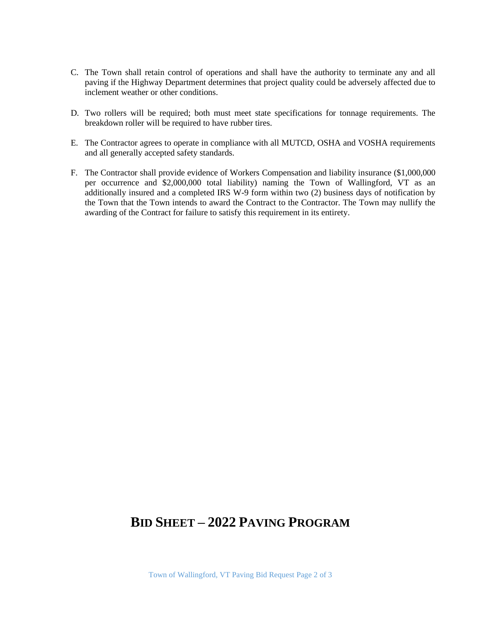- C. The Town shall retain control of operations and shall have the authority to terminate any and all paving if the Highway Department determines that project quality could be adversely affected due to inclement weather or other conditions.
- D. Two rollers will be required; both must meet state specifications for tonnage requirements. The breakdown roller will be required to have rubber tires.
- E. The Contractor agrees to operate in compliance with all MUTCD, OSHA and VOSHA requirements and all generally accepted safety standards.
- F. The Contractor shall provide evidence of Workers Compensation and liability insurance (\$1,000,000 per occurrence and \$2,000,000 total liability) naming the Town of Wallingford, VT as an additionally insured and a completed IRS W-9 form within two (2) business days of notification by the Town that the Town intends to award the Contract to the Contractor. The Town may nullify the awarding of the Contract for failure to satisfy this requirement in its entirety.

## **BID SHEET – 2022 PAVING PROGRAM**